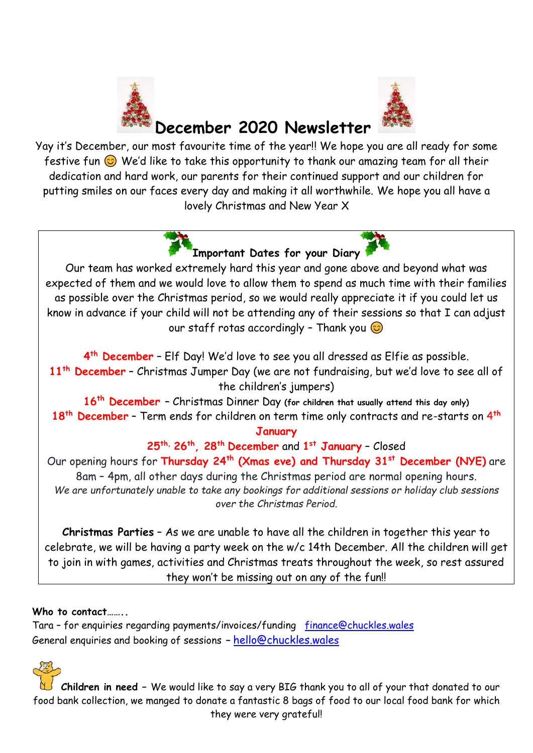



# **December 2020 Newsletter**

Yay it's December, our most favourite time of the year!! We hope you are all ready for some festive fun  $\odot$  We'd like to take this opportunity to thank our amazing team for all their dedication and hard work, our parents for their continued support and our children for putting smiles on our faces every day and making it all worthwhile. We hope you all have a lovely Christmas and New Year X



Our team has worked extremely hard this year and gone above and beyond what was expected of them and we would love to allow them to spend as much time with their families as possible over the Christmas period, so we would really appreciate it if you could let us know in advance if your child will not be attending any of their sessions so that I can adjust our staff rotas accordingly - Thank you  $\odot$ 

**4 th December** – Elf Day! We'd love to see you all dressed as Elfie as possible. **11th December** – Christmas Jumper Day (we are not fundraising, but we'd love to see all of the children's jumpers)

**16th December** – Christmas Dinner Day **(for children that usually attend this day only) 18th December** – Term ends for children on term time only contracts and re-starts on 4 **th**

**January**

**25th, 26th, 28 th December** and **1 st January** – Closed

Our opening hours for **Thursday 24th (Xmas eve) and Thursday 31st December (NYE)** are 8am – 4pm, all other days during the Christmas period are normal opening hours. *We are unfortunately unable to take any bookings for additional sessions or holiday club sessions over the Christmas Period.*

**Christmas Parties** – As we are unable to have all the children in together this year to celebrate, we will be having a party week on the w/c 14th December. All the children will get to join in with games, activities and Christmas treats throughout the week, so rest assured they won't be missing out on any of the fun!!

## **Who to contact……..**

Tara – for enquiries regarding payments/invoices/funding[finance@chuckles.wales](mailto:finance@chuckles.wales) General enquiries and booking of sessions **–** [hello@chuckles.wale](mailto:hello@chuckles.wales)[s](mailto:hello@chuckles.wales)

**Children in need –** We would like to say a very BIG thank you to all of your that donated to our food bank collection, we manged to donate a fantastic 8 bags of food to our local food bank for which they were very grateful!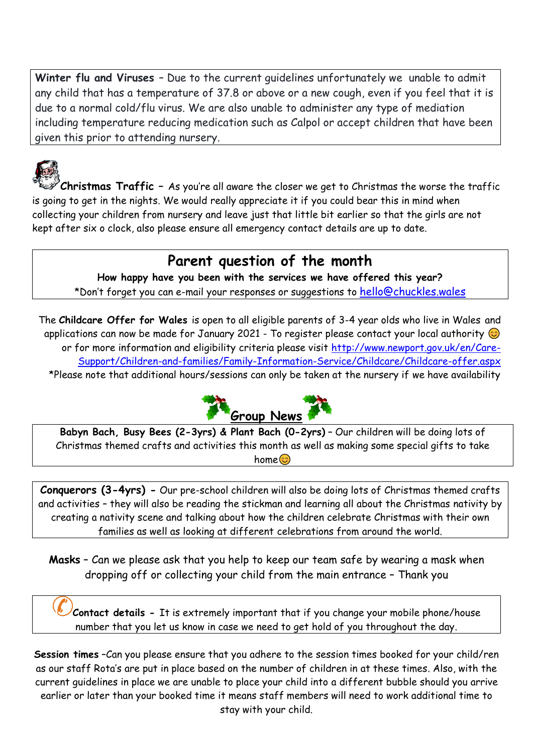**Winter flu and Viruses** – Due to the current guidelines unfortunately we unable to admit any child that has a temperature of 37.8 or above or a new cough, even if you feel that it is due to a normal cold/flu virus. We are also unable to administer any type of mediation including temperature reducing medication such as Calpol or accept children that have been given this prior to attending nursery.



**Christmas Traffic –** As you're all aware the closer we get to Christmas the worse the traffic is going to get in the nights. We would really appreciate it if you could bear this in mind when collecting your children from nursery and leave just that little bit earlier so that the girls are not kept after six o clock, also please ensure all emergency contact details are up to date.

## **Parent question of the month**

**How happy have you been with the services we have offered this year?**  \*Don't forget you can e-mail your responses or suggestions to [hello@chuckles.wales](mailto:hello@chuckles.wales)

The **Childcare Offer for Wales** is open to all eligible parents of 3-4 year olds who live in Wales and applications can now be made for January 2021 - To register please contact your local authority  $\odot$ or for more information and eligibility criteria please visit [http://www.newport.gov.uk/en/Care-](http://www.newport.gov.uk/en/Care-Support/Children-and-families/Family-Information-Service/Childcare/Childcare-offer.aspx)[Support/Children-and-families/Family-Information-Service/Childcare/Childcare-offer.aspx](http://www.newport.gov.uk/en/Care-Support/Children-and-families/Family-Information-Service/Childcare/Childcare-offer.aspx) \*Please note that additional hours/sessions can only be taken at the nursery if we have availability



**Babyn Bach, Busy Bees (2-3yrs) & Plant Bach (0-2yrs)** – Our children will be doing lots of Christmas themed crafts and activities this month as well as making some special gifts to take home<sup>3</sup>

**Conquerors (3-4yrs) -** Our pre-school children will also be doing lots of Christmas themed crafts and activities – they will also be reading the stickman and learning all about the Christmas nativity by creating a nativity scene and talking about how the children celebrate Christmas with their own families as well as looking at different celebrations from around the world.

**Masks** – Can we please ask that you help to keep our team safe by wearing a mask when dropping off or collecting your child from the main entrance – Thank you

**Contact details -** It is extremely important that if you change your mobile phone/house number that you let us know in case we need to get hold of you throughout the day.

**Session times** –Can you please ensure that you adhere to the session times booked for your child/ren as our staff Rota's are put in place based on the number of children in at these times. Also, with the current guidelines in place we are unable to place your child into a different bubble should you arrive earlier or later than your booked time it means staff members will need to work additional time to stay with your child.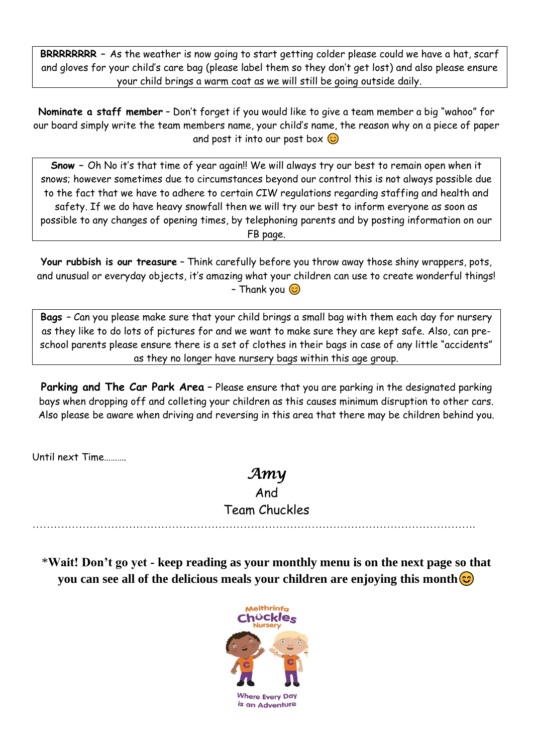**BRRRRRRRR –** As the weather is now going to start getting colder please could we have a hat, scarf and gloves for your child's care bag (please label them so they don't get lost) and also please ensure your child brings a warm coat as we will still be going outside daily.

**Nominate a staff member** – Don't forget if you would like to give a team member a big "wahoo" for our board simply write the team members name, your child's name, the reason why on a piece of paper and post it into our post box  $\odot$ 

**Snow –** Oh No it's that time of year again!! We will always try our best to remain open when it snows; however sometimes due to circumstances beyond our control this is not always possible due to the fact that we have to adhere to certain CIW regulations regarding staffing and health and safety. If we do have heavy snowfall then we will try our best to inform everyone as soon as possible to any changes of opening times, by telephoning parents and by posting information on our FB page.

**Your rubbish is our treasure** – Think carefully before you throw away those shiny wrappers, pots, and unusual or everyday objects, it's amazing what your children can use to create wonderful things! - Thank you  $\odot$ 

**Bags** – Can you please make sure that your child brings a small bag with them each day for nursery as they like to do lots of pictures for and we want to make sure they are kept safe. Also, can preschool parents please ensure there is a set of clothes in their bags in case of any little "accidents" as they no longer have nursery bags within this age group.

Parking and The Car Park Area - Please ensure that you are parking in the designated parking bays when dropping off and colleting your children as this causes minimum disruption to other cars. Also please be aware when driving and reversing in this area that there may be children behind you.

Until next Time……….

# *Amy*

### And

Team Chuckles

…………………………………………………………………………………………………………….

\***Wait! Don't go yet - keep reading as your monthly menu is on the next page so that you can see all of the delicious meals your children are enjoying this month**